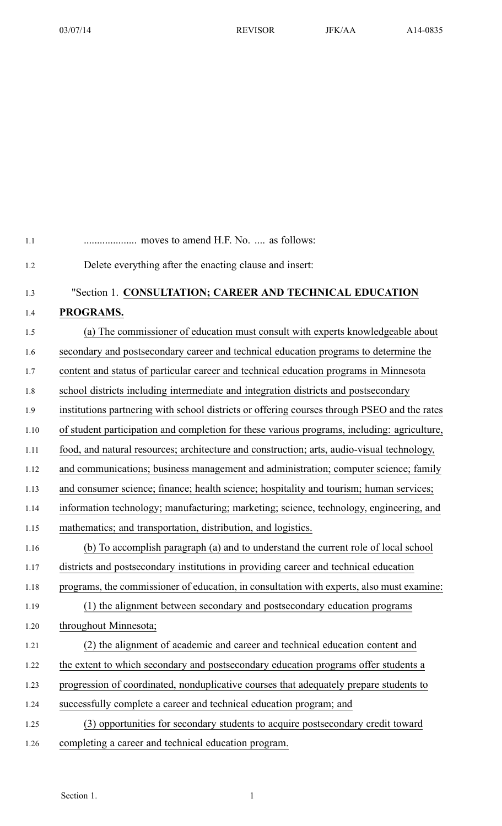| 1.1  | moves to amend H.F. No.  as follows:                                                         |
|------|----------------------------------------------------------------------------------------------|
| 1.2  | Delete everything after the enacting clause and insert:                                      |
| 1.3  | "Section 1. CONSULTATION; CAREER AND TECHNICAL EDUCATION                                     |
| 1.4  | PROGRAMS.                                                                                    |
| 1.5  | (a) The commissioner of education must consult with experts knowledgeable about              |
| 1.6  | secondary and postsecondary career and technical education programs to determine the         |
| 1.7  | content and status of particular career and technical education programs in Minnesota        |
| 1.8  | school districts including intermediate and integration districts and postsecondary          |
| 1.9  | institutions partnering with school districts or offering courses through PSEO and the rates |
| 1.10 | of student participation and completion for these various programs, including: agriculture,  |
| 1.11 | food, and natural resources; architecture and construction; arts, audio-visual technology,   |
| 1.12 | and communications; business management and administration; computer science; family         |
| 1.13 | and consumer science; finance; health science; hospitality and tourism; human services;      |
| 1.14 | information technology; manufacturing; marketing; science, technology, engineering, and      |
| 1.15 | mathematics; and transportation, distribution, and logistics.                                |
| 1.16 | (b) To accomplish paragraph (a) and to understand the current role of local school           |
| 1.17 | districts and postsecondary institutions in providing career and technical education         |
| 1.18 | programs, the commissioner of education, in consultation with experts, also must examine:    |
| 1.19 | (1) the alignment between secondary and postsecondary education programs                     |
| 1.20 | throughout Minnesota;                                                                        |
| 1.21 | (2) the alignment of academic and career and technical education content and                 |
| 1.22 | the extent to which secondary and postsecondary education programs offer students a          |
| 1.23 | progression of coordinated, nonduplicative courses that adequately prepare students to       |
| 1.24 | successfully complete a career and technical education program; and                          |
| 1.25 | (3) opportunities for secondary students to acquire postsecondary credit toward              |
| 1.26 | completing a career and technical education program.                                         |